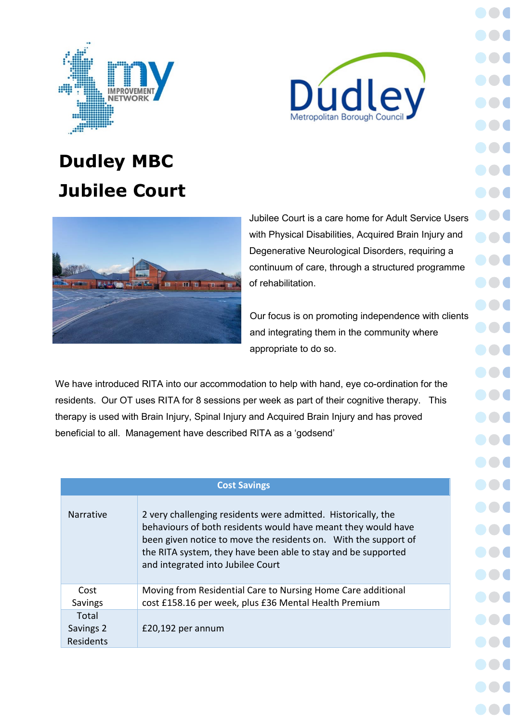



# **Dudley MBC Jubilee Court**



Jubilee Court is a care home for Adult Service Users with Physical Disabilities, Acquired Brain Injury and Degenerative Neurological Disorders, requiring a continuum of care, through a structured programme of rehabilitation.

Our focus is on promoting independence with clients and integrating them in the community where appropriate to do so.

We have introduced RITA into our accommodation to help with hand, eye co-ordination for the residents. Our OT uses RITA for 8 sessions per week as part of their cognitive therapy. This therapy is used with Brain Injury, Spinal Injury and Acquired Brain Injury and has proved beneficial to all. Management have described RITA as a 'godsend'

| <b>Cost Savings</b>             |                                                                                                                                                                                                                                                                                                         |  |  |
|---------------------------------|---------------------------------------------------------------------------------------------------------------------------------------------------------------------------------------------------------------------------------------------------------------------------------------------------------|--|--|
| <b>Narrative</b>                | 2 very challenging residents were admitted. Historically, the<br>behaviours of both residents would have meant they would have<br>been given notice to move the residents on. With the support of<br>the RITA system, they have been able to stay and be supported<br>and integrated into Jubilee Court |  |  |
| Cost                            | Moving from Residential Care to Nursing Home Care additional                                                                                                                                                                                                                                            |  |  |
| Savings                         | cost £158.16 per week, plus £36 Mental Health Premium                                                                                                                                                                                                                                                   |  |  |
| Total<br>Savings 2<br>Residents | £20,192 per annum                                                                                                                                                                                                                                                                                       |  |  |